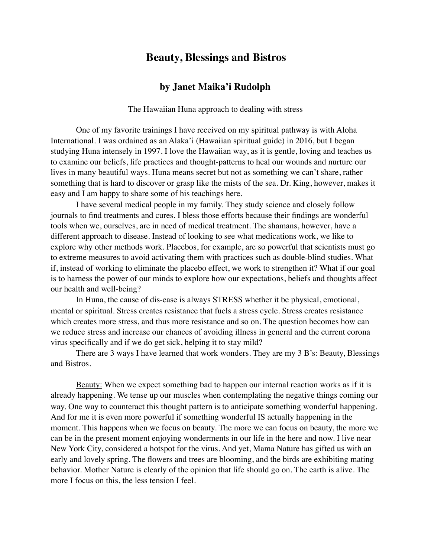## **Beauty, Blessings and Bistros**

## **by Janet Maika'i Rudolph**

The Hawaiian Huna approach to dealing with stress

One of my favorite trainings I have received on my spiritual pathway is with Aloha International. I was ordained as an Alaka'i (Hawaiian spiritual guide) in 2016, but I began studying Huna intensely in 1997. I love the Hawaiian way, as it is gentle, loving and teaches us to examine our beliefs, life practices and thought-patterns to heal our wounds and nurture our lives in many beautiful ways. Huna means secret but not as something we can't share, rather something that is hard to discover or grasp like the mists of the sea. Dr. King, however, makes it easy and I am happy to share some of his teachings here.

I have several medical people in my family. They study science and closely follow journals to find treatments and cures. I bless those efforts because their findings are wonderful tools when we, ourselves, are in need of medical treatment. The shamans, however, have a different approach to disease. Instead of looking to see what medications work, we like to explore why other methods work. Placebos, for example, are so powerful that scientists must go to extreme measures to avoid activating them with practices such as double-blind studies. What if, instead of working to eliminate the placebo effect, we work to strengthen it? What if our goal is to harness the power of our minds to explore how our expectations, beliefs and thoughts affect our health and well-being?

In Huna, the cause of dis-ease is always STRESS whether it be physical, emotional, mental or spiritual. Stress creates resistance that fuels a stress cycle. Stress creates resistance which creates more stress, and thus more resistance and so on. The question becomes how can we reduce stress and increase our chances of avoiding illness in general and the current corona virus specifically and if we do get sick, helping it to stay mild?

There are 3 ways I have learned that work wonders. They are my 3 B's: Beauty, Blessings and Bistros.

Beauty: When we expect something bad to happen our internal reaction works as if it is already happening. We tense up our muscles when contemplating the negative things coming our way. One way to counteract this thought pattern is to anticipate something wonderful happening. And for me it is even more powerful if something wonderful IS actually happening in the moment. This happens when we focus on beauty. The more we can focus on beauty, the more we can be in the present moment enjoying wonderments in our life in the here and now. I live near New York City, considered a hotspot for the virus. And yet, Mama Nature has gifted us with an early and lovely spring. The flowers and trees are blooming, and the birds are exhibiting mating behavior. Mother Nature is clearly of the opinion that life should go on. The earth is alive. The more I focus on this, the less tension I feel.